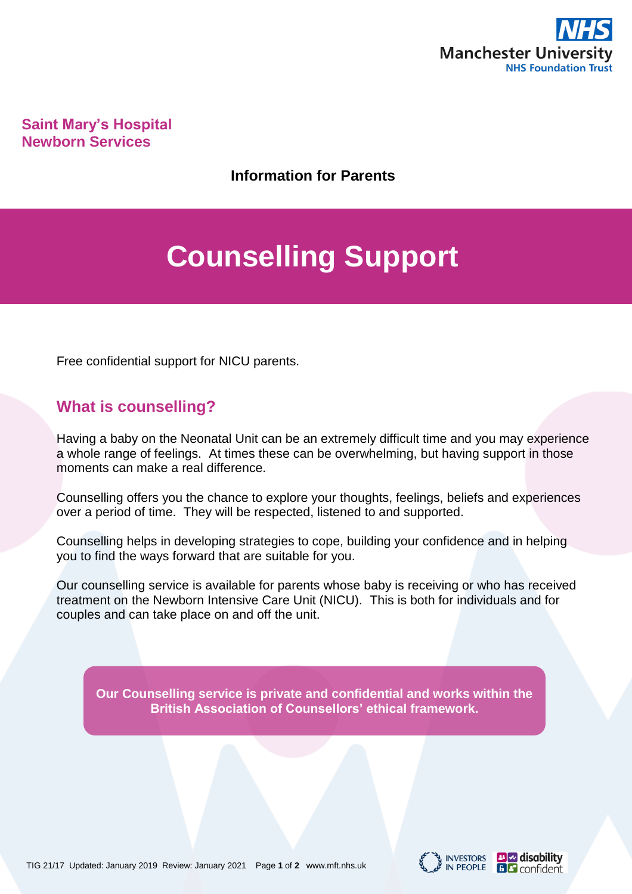

**Saint Mary's Hospital Newborn Services**

**Information for Parents**

# **Counselling Support**

Free confidential support for NICU parents.

#### **What is counselling?**

Having a baby on the Neonatal Unit can be an extremely difficult time and you may experience a whole range of feelings. At times these can be overwhelming, but having support in those moments can make a real difference.

Counselling offers you the chance to explore your thoughts, feelings, beliefs and experiences over a period of time. They will be respected, listened to and supported.

Counselling helps in developing strategies to cope, building your confidence and in helping you to find the ways forward that are suitable for you.

Our counselling service is available for parents whose baby is receiving or who has received treatment on the Newborn Intensive Care Unit (NICU). This is both for individuals and for couples and can take place on and off the unit.

**Our Counselling service is private and confidential and works within the British Association of Counsellors' ethical framework.**



**B Confident**